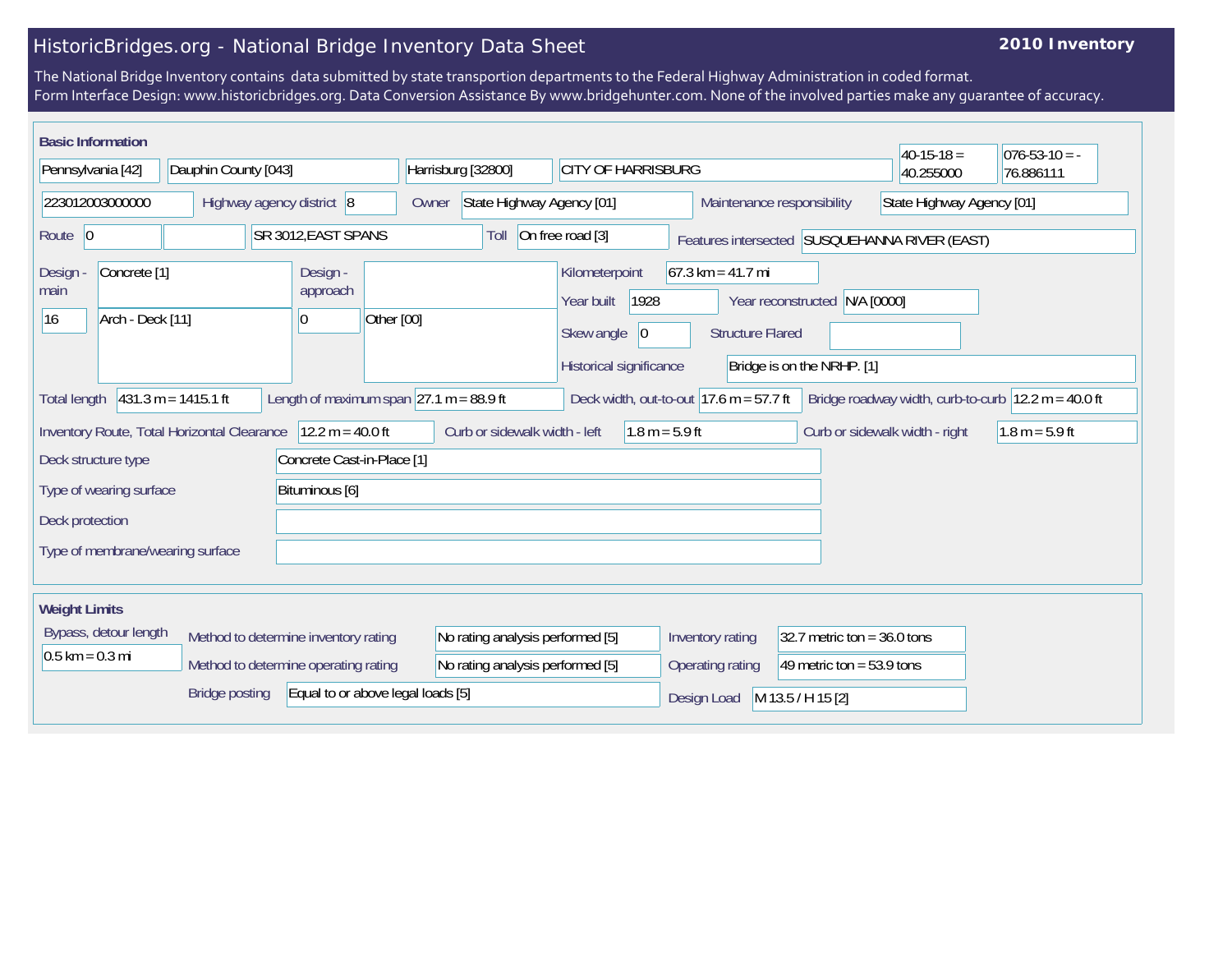## HistoricBridges.org - National Bridge Inventory Data Sheet

## **2010 Inventory**

The National Bridge Inventory contains data submitted by state transportion departments to the Federal Highway Administration in coded format. Form Interface Design: www.historicbridges.org. Data Conversion Assistance By www.bridgehunter.com. None of the involved parties make any guarantee of accuracy.

| <b>Basic Information</b>                                                                                                                                                                                                           |  |                           |                                                                           |            |                                    |                                                   |                                                |                                                                |                                                  | $40-15-18 =$ | $ 076-53-10 = -$          |  |
|------------------------------------------------------------------------------------------------------------------------------------------------------------------------------------------------------------------------------------|--|---------------------------|---------------------------------------------------------------------------|------------|------------------------------------|---------------------------------------------------|------------------------------------------------|----------------------------------------------------------------|--------------------------------------------------|--------------|---------------------------|--|
| Pennsylvania [42]                                                                                                                                                                                                                  |  | Dauphin County [043]      |                                                                           |            | Harrisburg [32800]                 |                                                   | <b>CITY OF HARRISBURG</b>                      |                                                                |                                                  | 40.255000    | 76.886111                 |  |
| 223012003000000                                                                                                                                                                                                                    |  | Highway agency district 8 |                                                                           |            | State Highway Agency [01]<br>Owner |                                                   |                                                | Maintenance responsibility                                     |                                                  |              | State Highway Agency [01] |  |
| SR 3012, EAST SPANS<br>Route 0                                                                                                                                                                                                     |  |                           | On free road [3]<br>Toll<br>Features intersected SUSQUEHANNA RIVER (EAST) |            |                                    |                                                   |                                                |                                                                |                                                  |              |                           |  |
| Concrete <sup>[1]</sup><br>Design -<br>main<br>Arch - Deck [11]<br> 16                                                                                                                                                             |  |                           | Design -<br>approach<br>$\vert 0 \vert$                                   | Other [00] |                                    | Kilometerpoint<br>Year built<br>Skew angle        | 1928<br>$ 0\rangle$<br>Historical significance | $67.3 \text{ km} = 41.7 \text{ mi}$<br><b>Structure Flared</b> | Year reconstructed<br>Bridge is on the NRHP. [1] | N/A [0000]   |                           |  |
| Length of maximum span $ 27.1 \text{ m} = 88.9 \text{ ft}$<br>$431.3 m = 1415.1 ft$<br>Deck width, out-to-out $17.6$ m = 57.7 ft<br>Bridge roadway width, curb-to-curb $ 12.2 \text{ m} = 40.0 \text{ ft} $<br><b>Total length</b> |  |                           |                                                                           |            |                                    |                                                   |                                                |                                                                |                                                  |              |                           |  |
| $12.2 m = 40.0 ft$<br>Curb or sidewalk width - left<br>Inventory Route, Total Horizontal Clearance<br>$1.8 m = 5.9 ft$<br>Curb or sidewalk width - right                                                                           |  |                           |                                                                           |            |                                    | $1.8 m = 5.9 ft$                                  |                                                |                                                                |                                                  |              |                           |  |
| Concrete Cast-in-Place [1]<br>Deck structure type                                                                                                                                                                                  |  |                           |                                                                           |            |                                    |                                                   |                                                |                                                                |                                                  |              |                           |  |
| Type of wearing surface<br>Bituminous [6]                                                                                                                                                                                          |  |                           |                                                                           |            |                                    |                                                   |                                                |                                                                |                                                  |              |                           |  |
| Deck protection                                                                                                                                                                                                                    |  |                           |                                                                           |            |                                    |                                                   |                                                |                                                                |                                                  |              |                           |  |
| Type of membrane/wearing surface                                                                                                                                                                                                   |  |                           |                                                                           |            |                                    |                                                   |                                                |                                                                |                                                  |              |                           |  |
| <b>Weight Limits</b>                                                                                                                                                                                                               |  |                           |                                                                           |            |                                    |                                                   |                                                |                                                                |                                                  |              |                           |  |
| Bypass, detour length<br>Method to determine inventory rating                                                                                                                                                                      |  |                           | No rating analysis performed [5]                                          |            |                                    | Inventory rating<br>32.7 metric ton = $36.0$ tons |                                                |                                                                |                                                  |              |                           |  |
| $0.5$ km = 0.3 mi                                                                                                                                                                                                                  |  |                           | Method to determine operating rating                                      |            |                                    | No rating analysis performed [5]                  |                                                | Operating rating                                               | 49 metric ton = $53.9$ tons                      |              |                           |  |
| Equal to or above legal loads [5]<br><b>Bridge posting</b>                                                                                                                                                                         |  |                           |                                                                           |            |                                    |                                                   | M 13.5 / H 15 [2]<br>Design Load               |                                                                |                                                  |              |                           |  |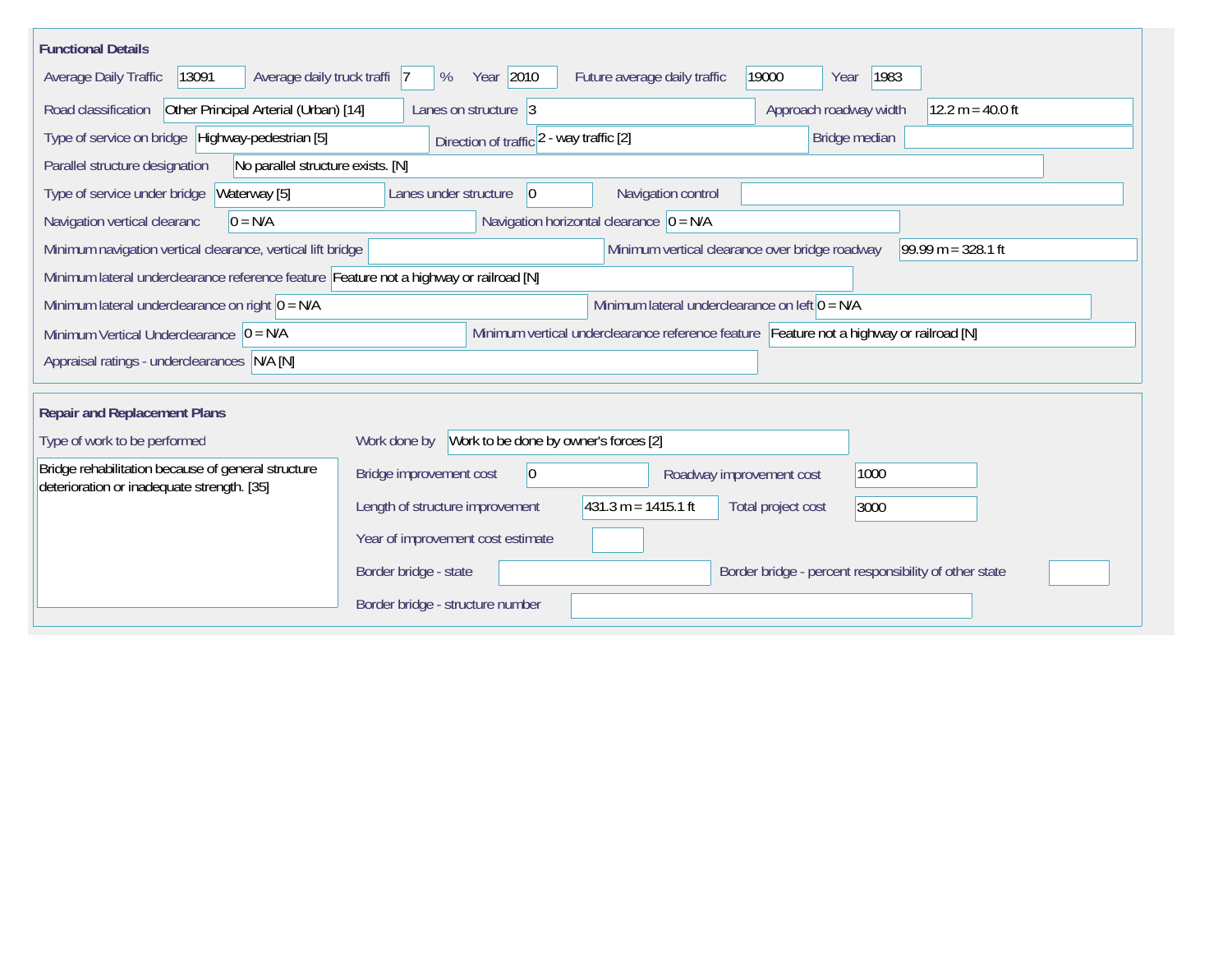| <b>Functional Details</b>                                                                                     |                                                                                         |                                                |                                                       |                      |  |  |  |  |
|---------------------------------------------------------------------------------------------------------------|-----------------------------------------------------------------------------------------|------------------------------------------------|-------------------------------------------------------|----------------------|--|--|--|--|
| 13091<br>Average daily truck traffi 7<br>Average Daily Traffic                                                | Year 2010<br>%                                                                          | Future average daily traffic                   | 19000<br>1983<br>Year                                 |                      |  |  |  |  |
| Other Principal Arterial (Urban) [14]<br>Road classification                                                  | Lanes on structure 3                                                                    |                                                | Approach roadway width                                | $12.2 m = 40.0 ft$   |  |  |  |  |
| Type of service on bridge Highway-pedestrian [5]                                                              | Bridge median                                                                           |                                                |                                                       |                      |  |  |  |  |
| Parallel structure designation<br>No parallel structure exists. [N]                                           |                                                                                         |                                                |                                                       |                      |  |  |  |  |
| Waterway [5]<br>Navigation control<br>Type of service under bridge<br>Lanes under structure<br>$\overline{0}$ |                                                                                         |                                                |                                                       |                      |  |  |  |  |
| Navigation vertical clearanc<br>$0 = N/A$                                                                     |                                                                                         | Navigation horizontal clearance $ 0 = N/A $    |                                                       |                      |  |  |  |  |
| Minimum navigation vertical clearance, vertical lift bridge                                                   |                                                                                         | Minimum vertical clearance over bridge roadway |                                                       | 99.99 m = $328.1$ ft |  |  |  |  |
| Minimum lateral underclearance reference feature Feature not a highway or railroad [N]                        |                                                                                         |                                                |                                                       |                      |  |  |  |  |
| Minimum lateral underclearance on right $0 = N/A$                                                             | Minimum lateral underclearance on left $0 = N/A$                                        |                                                |                                                       |                      |  |  |  |  |
| Minimum Vertical Underclearance $ 0 = N/A$                                                                    | Minimum vertical underclearance reference feature Feature not a highway or railroad [N] |                                                |                                                       |                      |  |  |  |  |
| Appraisal ratings - underclearances N/A [N]                                                                   |                                                                                         |                                                |                                                       |                      |  |  |  |  |
|                                                                                                               |                                                                                         |                                                |                                                       |                      |  |  |  |  |
|                                                                                                               | <b>Repair and Replacement Plans</b>                                                     |                                                |                                                       |                      |  |  |  |  |
| Type of work to be performed                                                                                  | Work to be done by owner's forces [2]<br>Work done by                                   |                                                |                                                       |                      |  |  |  |  |
| Bridge rehabilitation because of general structure<br>deterioration or inadequate strength. [35]              | Bridge improvement cost<br>$ 0\rangle$                                                  | Roadway improvement cost                       | 1000                                                  |                      |  |  |  |  |
|                                                                                                               | Length of structure improvement                                                         | $ 431.3 \text{ m} = 1415.1 \text{ ft}$         | Total project cost<br>3000                            |                      |  |  |  |  |
|                                                                                                               | Year of improvement cost estimate                                                       |                                                |                                                       |                      |  |  |  |  |
|                                                                                                               | Border bridge - state                                                                   |                                                | Border bridge - percent responsibility of other state |                      |  |  |  |  |
|                                                                                                               | Border bridge - structure number                                                        |                                                |                                                       |                      |  |  |  |  |